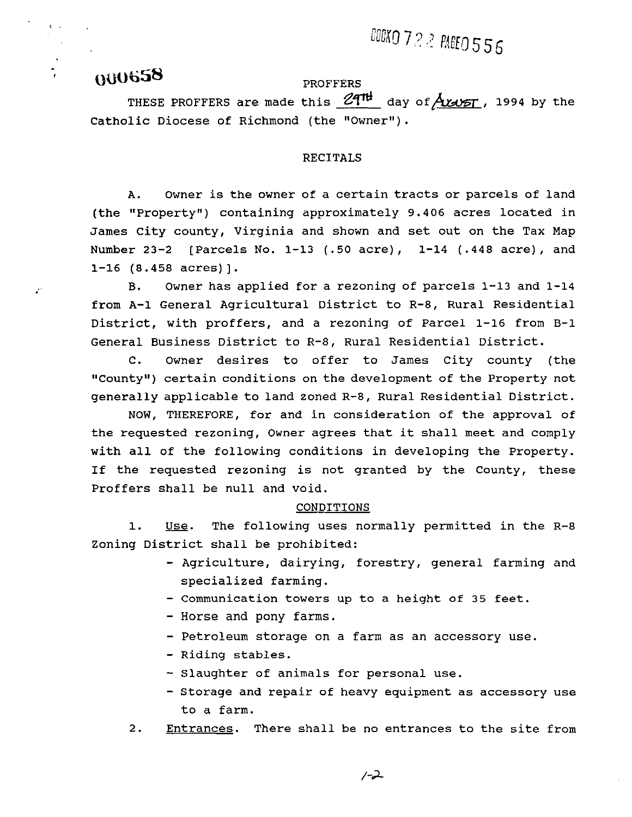# BOOKO 722 PAGEO 556

# **MIU658**

Ž,

## PROFFERS

THESE PROFFERS are made this  $24^{\text{th}}$  day of  $A$  $\mu$  $\sigma$  $\tau$ , 1994 by the Catholic Diocese of Richmond (the "Owner").

### RECITALS

A. Owner is the owner of a certain tracts or parcels of land (the "Property") containing approximately 9.406 acres located in James City county, Virginia and shown and set out on the Tax Map Number 23-2 [Parcels No. 1-13 (.50 acre), 1-14 (.448 acre), and  $1-16$  (8.458 acres)].

**B.** Owner has applied for a rezoning of parcels 1-13 and 1-14 from A-1 General Agricultural District to R-8, Rural Residential District, with proffers, and a rezoning of Parcel 1-16 from B-1 General Business District to R-8, Rural Residential District.

C. Owner desires to offer to James City county (the "County") certain conditions on the development of the Property not generally applicable to land zoned R-8, Rural Residential District.

NOW, THEREFORE, for and in consideration of the approval of the requested rezoning, Owner agrees that it shall meet and comply with all of the following conditions in developing the Property. If the requested rezoning is not granted by the County, these Proffers shall be null and void.

#### CONDITIONS

1. Use. The following uses normally permitted in the R-8 Zoning District shall be prohibited:

- Agriculture, dairying, forestry, general farming and specialized farming.
- Communication towers up to a height of 35 feet.
- Horse and pony farms.
- Petroleum storage on a farm as an accessory use.
- Riding stables.
- Slaughter of animals for personal use.
- Storage and repair of heavy equipment as accessory use to a farm.
- 2. Entrances. There shall be no entrances to the site from

 $-2$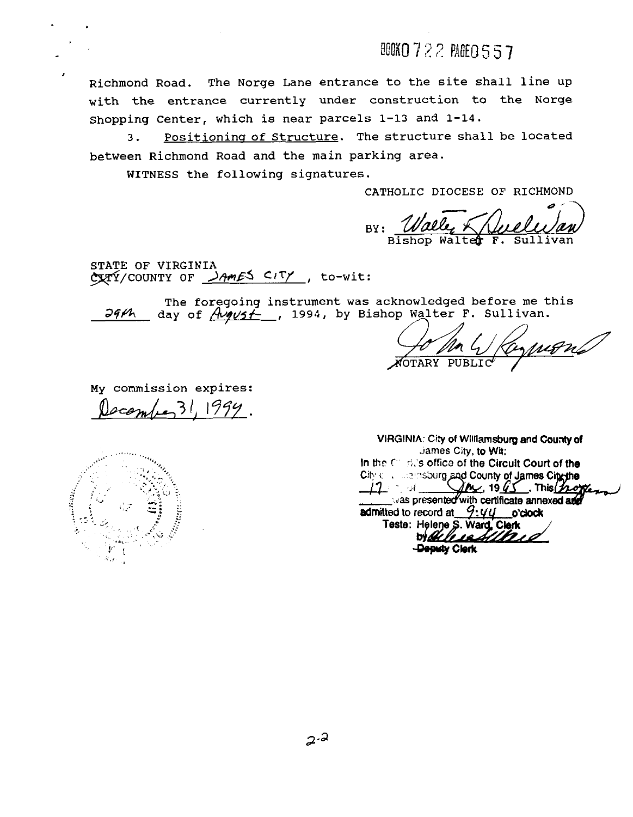**BOKO 722 PAGE0 557** 

Richmond Road. The Norge Lane entrance to the site shall line up with the entrance currently under construction to the Norge shopping Center, which is near parcels 1-13 and 1-14.

3. Positioninq of Structure. The structure shall be located between Richmond Road and the main parking area.

WITNESS the following signatures.

CATHOLIC DIOCESE OF RICHMOND

BY : Bishop Walter F.

STATE OF VIRGINIA  $C\chi_T\tilde{\Upsilon}/C\text{COUNTY}$  OF  $\lambda\text{AmES}$  CITY, to-wit:

The foregoing instrument was acknowledged before me this <br>*99th* day of *final*: 1994, by Bishop Walter F. Sullivan.

Jo Ma Waynons

My commission expires:  $cem(1.31, 1999)$ .

 $\mathcal{U}_{\mathcal{I}}$  is

**VIRGINIA: City of Williamsburg and County of jarnes** City, **to Wii: In the C <b>***c c s s c* **<b>office** of the Circuit Court of the City collectionsburg and County of James City-the  $\text{Im}$ , 19 $\text{G}$ , This porce  $\mu$  , sr , was presented with certificate annexed and **admitted to record at 9:44 o'clock**<br>Teste: Helene S. Ward, Clerk ordeless 4/10 i l -Dqady **Cbrk**